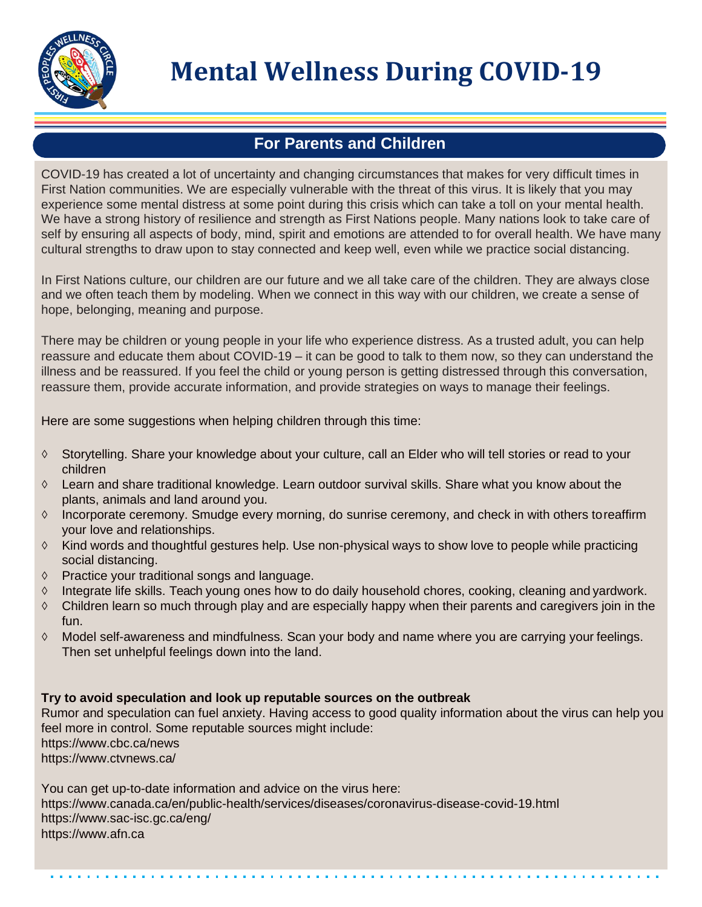

# **Mental Wellness During COVID-19**

## **For Parents and Children**

COVID-19 has created a lot of uncertainty and changing circumstances that makes for very difficult times in First Nation communities. We are especially vulnerable with the threat of this virus. It is likely that you may experience some mental distress at some point during this crisis which can take a toll on your mental health. We have a strong history of resilience and strength as First Nations people. Many nations look to take care of self by ensuring all aspects of body, mind, spirit and emotions are attended to for overall health. We have many cultural strengths to draw upon to stay connected and keep well, even while we practice social distancing.

In First Nations culture, our children are our future and we all take care of the children. They are always close and we often teach them by modeling. When we connect in this way with our children, we create a sense of hope, belonging, meaning and purpose.

There may be children or young people in your life who experience distress. As a trusted adult, you can help reassure and educate them about COVID-19 – it can be good to talk to them now, so they can understand the illness and be reassured. If you feel the child or young person is getting distressed through this conversation, reassure them, provide accurate information, and provide strategies on ways to manage their feelings.

Here are some suggestions when helping children through this time:

- ◇ Storytelling. Share your knowledge about your culture, call an Elder who will tell stories or read to your children
- ◇ Learn and share traditional knowledge. Learn outdoor survival skills. Share what you know about the plants, animals and land around you.
- ◇ Incorporate ceremony. Smudge every morning, do sunrise ceremony, and check in with others toreaffirm your love and relationships.
- ◇ Kind words and thoughtful gestures help. Use non-physical ways to show love to people while practicing social distancing.
- ◇ Practice your traditional songs and language.
- ◇ Integrate life skills. Teach young ones how to do daily household chores, cooking, cleaning and yardwork.
- $\diamond$  Children learn so much through play and are especially happy when their parents and caregivers join in the fun.
- ◇ Model self-awareness and mindfulness. Scan your body and name where you are carrying your feelings. Then set unhelpful feelings down into the land.

### **Try to avoid speculation and look up reputable sources on the outbreak**

Rumor and speculation can fuel anxiety. Having access to good quality information about the virus can help you feel more in control. Some reputable sources might include: [https://www.cbc.ca/news](http://www.cbc.ca/news) [https://www.ctvnews.ca/](http://www.ctvnews.ca/)

You can get up-to-date information and advice on the virus here: [https://www.canada.ca/en/public-health/services/diseases/coronavirus-disease-covid-19.html](http://www.canada.ca/en/public-health/services/diseases/coronavirus-disease-covid-19.html) [https://www.sac-isc.gc.ca/eng/](http://www.sac-isc.gc.ca/eng/) [https://www.](http://www.afn.ca/)afn.ca